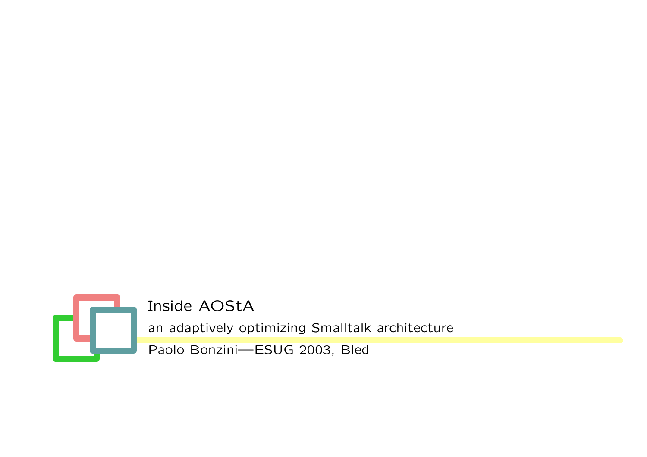

Inside AOStA

an adaptively optimizing Smalltalk architecture

Paolo Bonzini—ESUG 2003, Bled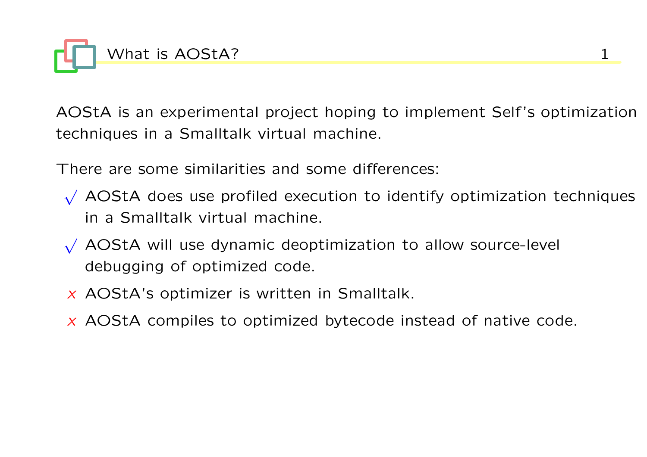

AOStA is an experimental project hoping to implement Self 's optimization techniques in a Smalltalk virtual machine.

There are some similarities and some differences:

- √ AOStA does use profiled execution to identify optimization techniques in a Smalltalk virtual machine.
- √ AOStA will use dynamic deoptimization to allow source-level debugging of optimized code.
- $x$  AOStA's optimizer is written in Smalltalk.
- $x$  AOStA compiles to optimized bytecode instead of native code.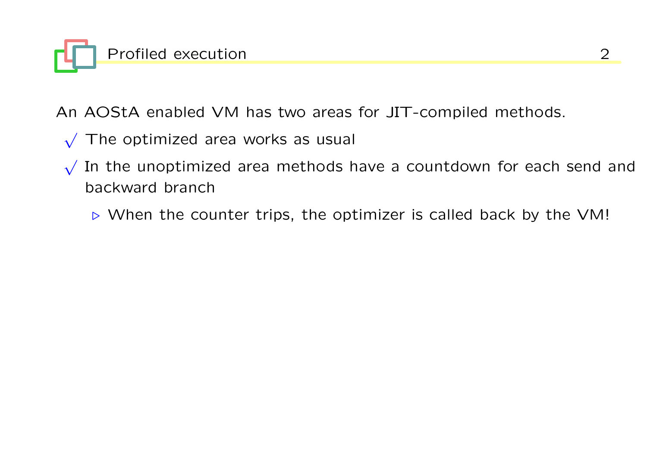

An AOStA enabled VM has two areas for JIT-compiled methods.

- √ The optimized area works as usual
- √ In the unoptimized area methods have a countdown for each send and backward branch
	- $\triangleright$  When the counter trips, the optimizer is called back by the VM!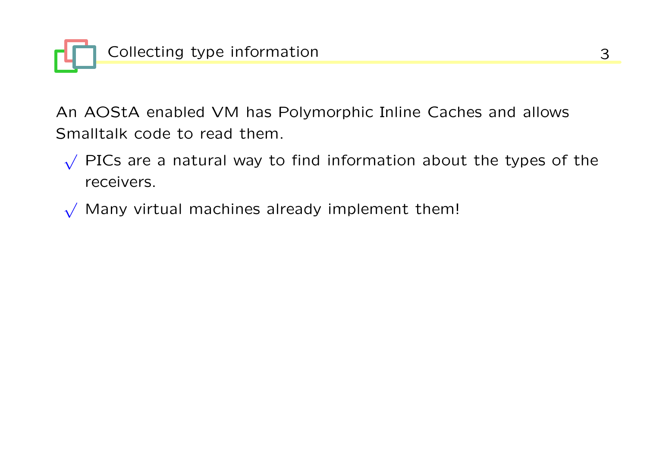

An AOStA enabled VM has Polymorphic Inline Caches and allows Smalltalk code to read them.

- √ PICs are a natural way to find information about the types of the receivers.
- $\sqrt{\ }$  Many virtual machines already implement them!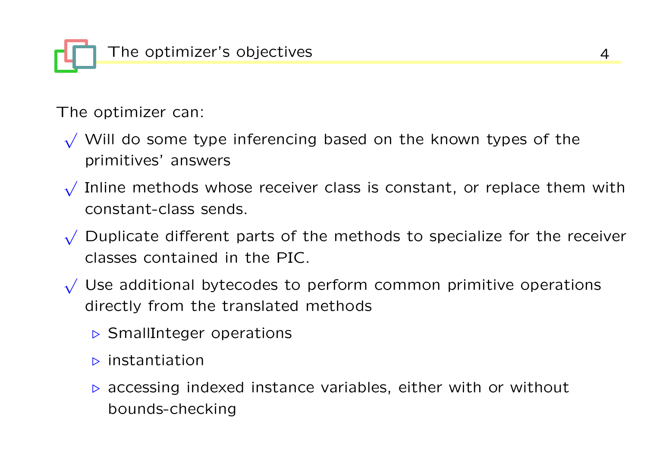The optimizer's objectives and the state of the state of the state of the state of the state of the state of the state of the state of the state of the state of the state of the state of the state of the state of the state

The optimizer can:

- $\sqrt{ }$  Will do some type inferencing based on the known types of the primitives' answers
- √ Inline methods whose receiver class is constant, or replace them with constant-class sends.
- √ Duplicate different parts of the methods to specialize for the receiver classes contained in the PIC.
- √ Use additional bytecodes to perform common primitive operations directly from the translated methods
	- $\triangleright$  SmallInteger operations
	- $\triangleright$  instantiation
	- $\triangleright$  accessing indexed instance variables, either with or without bounds-checking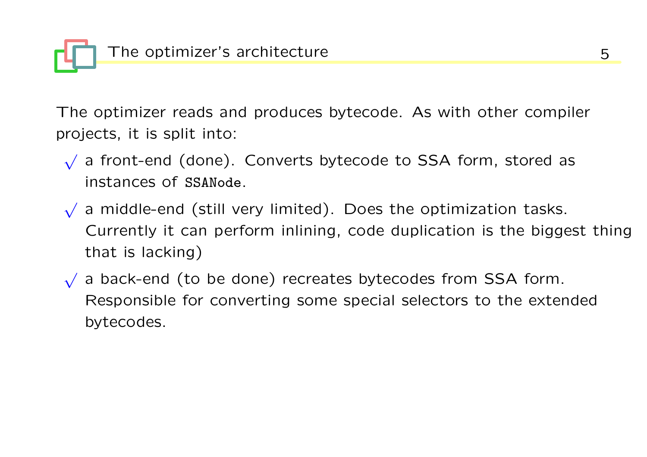

The optimizer reads and produces bytecode. As with other compiler projects, it is split into:

- √ a front-end (done). Converts bytecode to SSA form, stored as instances of SSANode.
- √ a middle-end (still very limited). Does the optimization tasks. Currently it can perform inlining, code duplication is the biggest thing that is lacking)
- √ a back-end (to be done) recreates bytecodes from SSA form. Responsible for converting some special selectors to the extended bytecodes.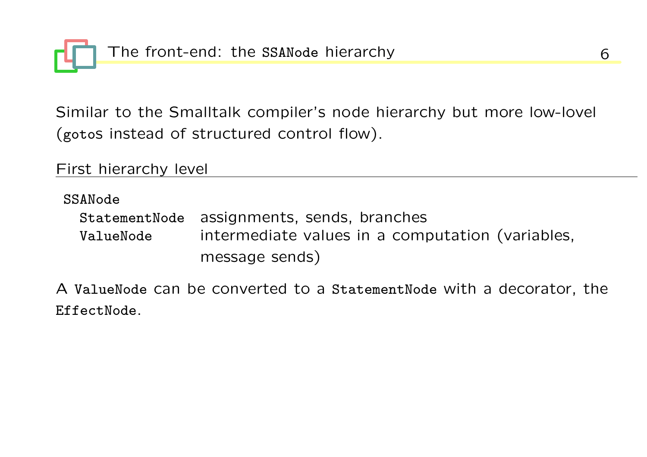The front-end: the SSANode hierarchy and the state of  $6$ 

Similar to the Smalltalk compiler's node hierarchy but more low-lovel (gotos instead of structured control flow).

First hierarchy level

SSANode

|           | StatementNode assignments, sends, branches       |
|-----------|--------------------------------------------------|
| ValueNode | intermediate values in a computation (variables, |
|           | message sends)                                   |

A ValueNode can be converted to a StatementNode with a decorator, the EffectNode.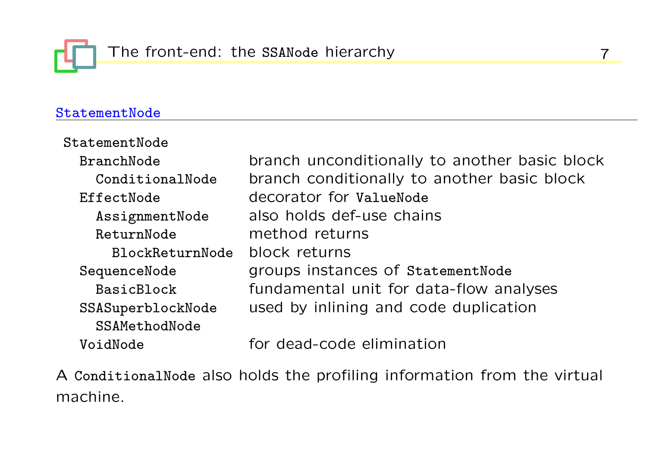# StatementNode

| StatementNode     |                                               |
|-------------------|-----------------------------------------------|
| BranchNode        | branch unconditionally to another basic block |
| ConditionalNode   | branch conditionally to another basic block   |
| EffectNode        | decorator for ValueNode                       |
| AssignmentNode    | also holds def-use chains                     |
| ReturnNode        | method returns                                |
| BlockReturnNode   | block returns                                 |
| SequenceNode      | groups instances of StatementNode             |
| BasicBlock        | fundamental unit for data-flow analyses       |
| SSASuperblockNode | used by inlining and code duplication         |
| SSAMethodNode     |                                               |
| VoidNode          | for dead-code elimination                     |
|                   |                                               |

A ConditionalNode also holds the profiling information from the virtual machine.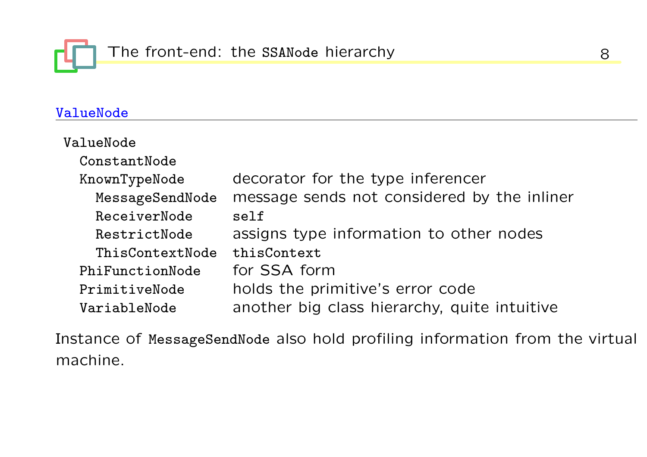

## ValueNode

| ValueNode       |                                              |
|-----------------|----------------------------------------------|
| ConstantNode    |                                              |
| KnownTypeNode   | decorator for the type inferencer            |
| MessageSendNode | message sends not considered by the inliner  |
| ReceiverNode    | self                                         |
| RestrictNode    | assigns type information to other nodes      |
| ThisContextNode | thisContext                                  |
| PhiFunctionNode | for SSA form                                 |
| PrimitiveNode   | holds the primitive's error code             |
| VariableNode    | another big class hierarchy, quite intuitive |

Instance of MessageSendNode also hold profiling information from the virtual machine.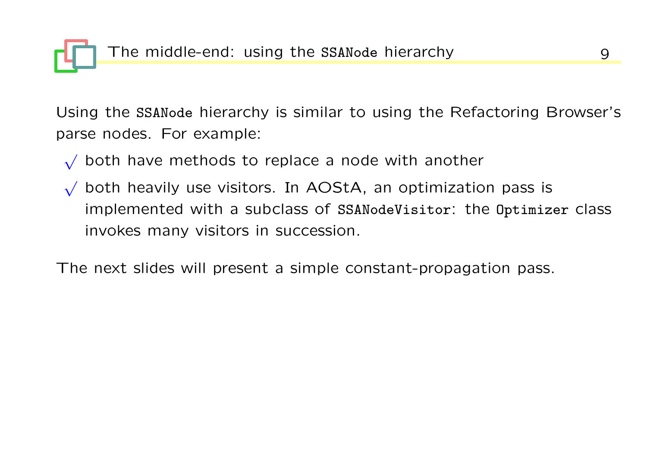The middle-end: using the SSANode hierarchy and the middle-end: using the SSANode hierarchy

Using the SSANode hierarchy is similar to using the Refactoring Browser's parse nodes. For example:

- √ both have methods to replace a node with another
- √ both heavily use visitors. In AOStA, an optimization pass is implemented with a subclass of SSANodeVisitor: the Optimizer class invokes many visitors in succession.

The next slides will present a simple constant-propagation pass.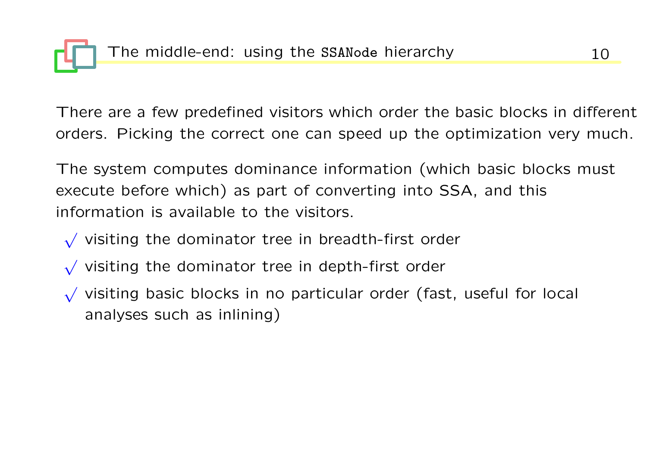There are a few predefined visitors which order the basic blocks in different orders. Picking the correct one can speed up the optimization very much.

The system computes dominance information (which basic blocks must execute before which) as part of converting into SSA, and this information is available to the visitors.

- √ visiting the dominator tree in breadth-first order
- √ visiting the dominator tree in depth-first order
- √ visiting basic blocks in no particular order (fast, useful for local analyses such as inlining)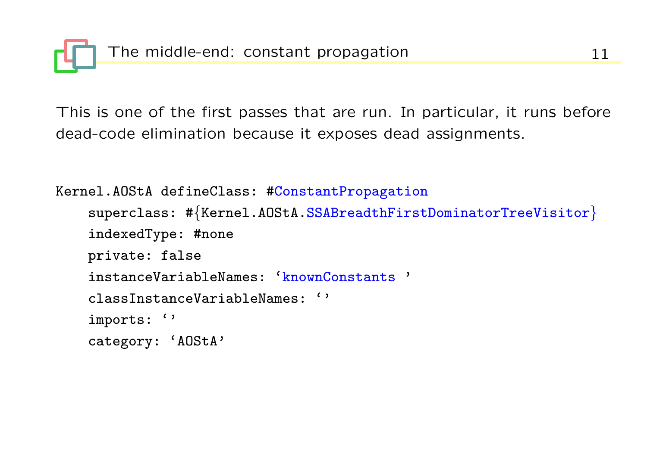This is one of the first passes that are run. In particular, it runs before dead-code elimination because it exposes dead assignments.

```
Kernel.AOStA defineClass: #ConstantPropagation
    superclass: #{Kernel.AOStA.SSABreadthFirstDominatorTreeVisitor}
    indexedType: #none
    private: false
    instanceVariableNames: 'knownConstants '
    classInstanceVariableNames: ''
    imports: ''
    category: 'AOStA'
```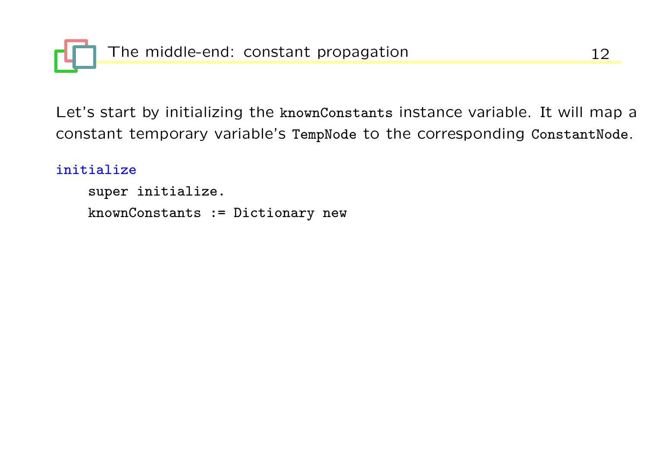

Let's start by initializing the knownConstants instance variable. It will map a constant temporary variable's TempNode to the corresponding ConstantNode.

#### initialize

super initialize. knownConstants := Dictionary new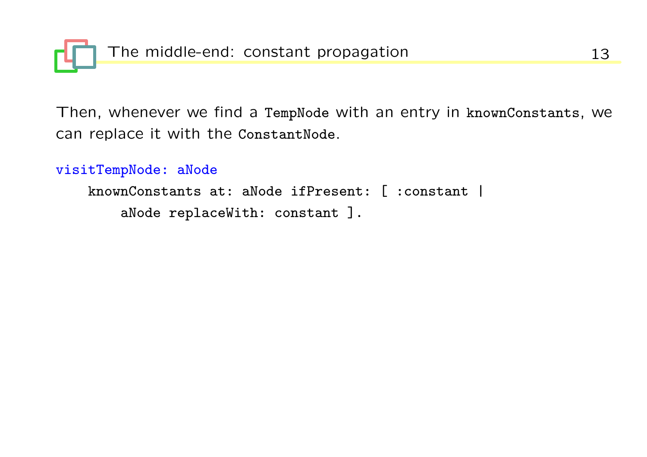

Then, whenever we find a TempNode with an entry in knownConstants, we can replace it with the ConstantNode.

visitTempNode: aNode

knownConstants at: aNode ifPresent: [ :constant | aNode replaceWith: constant ].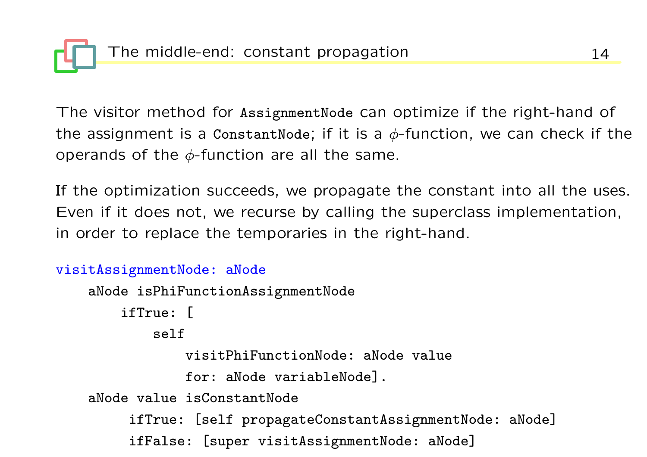The visitor method for AssignmentNode can optimize if the right-hand of the assignment is a ConstantNode; if it is a  $\phi$ -function, we can check if the operands of the  $\phi$ -function are all the same.

If the optimization succeeds, we propagate the constant into all the uses. Even if it does not, we recurse by calling the superclass implementation, in order to replace the temporaries in the right-hand.

```
visitAssignmentNode: aNode
    aNode isPhiFunctionAssignmentNode
        ifTrue: [
            self
                visitPhiFunctionNode: aNode value
                for: aNode variableNode].
    aNode value isConstantNode
         ifTrue: [self propagateConstantAssignmentNode: aNode]
         ifFalse: [super visitAssignmentNode: aNode]
```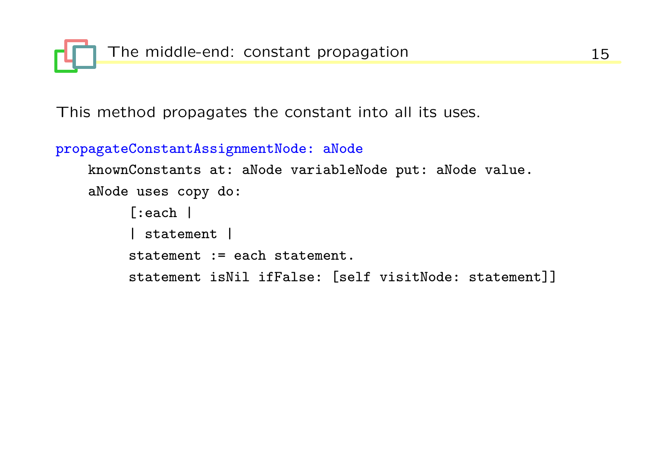

This method propagates the constant into all its uses.

```
propagateConstantAssignmentNode: aNode
```

```
knownConstants at: aNode variableNode put: aNode value.
aNode uses copy do:
     [:each |
     | statement |
     statement := each statement.
     statement isNil ifFalse: [self visitNode: statement]]
```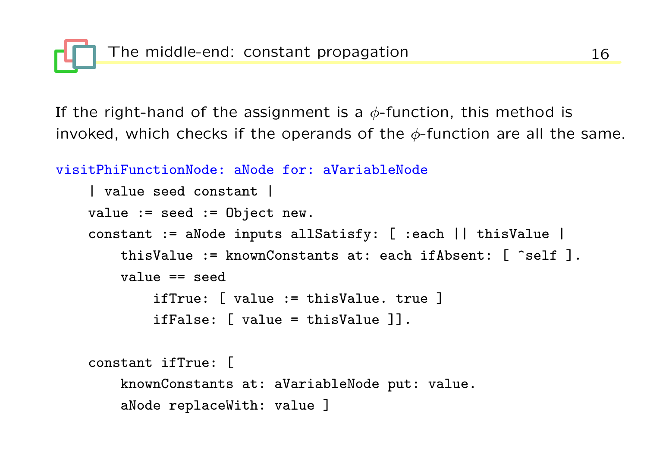

If the right-hand of the assignment is a  $\phi$ -function, this method is invoked, which checks if the operands of the  $\phi$ -function are all the same.

```
visitPhiFunctionNode: aNode for: aVariableNode
    | value seed constant |
    value := seed := Object new.
    constant := aNode inputs allSatisfy: [ :each || thisValue |
        thisValue := knownConstants at: each ifAbsent: \lceil \text{`self } \rceil.
        value == seedifTrue: [ value := thisValue. true ]
            ifFalse: [ value = thisValue ]].
    constant ifTrue: [
```

```
knownConstants at: aVariableNode put: value.
aNode replaceWith: value ]
```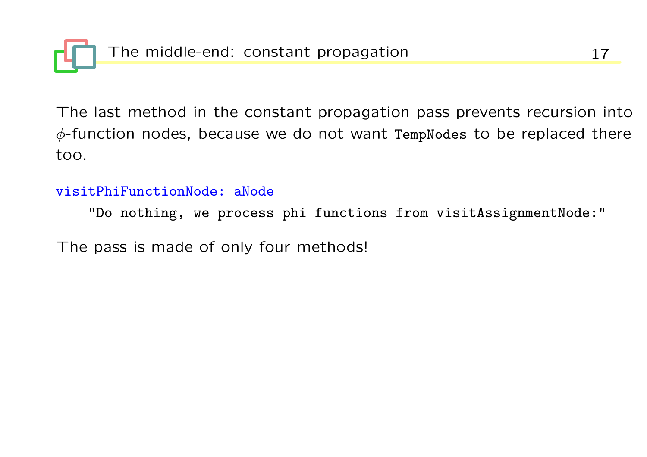The last method in the constant propagation pass prevents recursion into  $\phi$ -function nodes, because we do not want TempNodes to be replaced there too.

### visitPhiFunctionNode: aNode

"Do nothing, we process phi functions from visitAssignmentNode:"

The pass is made of only four methods!